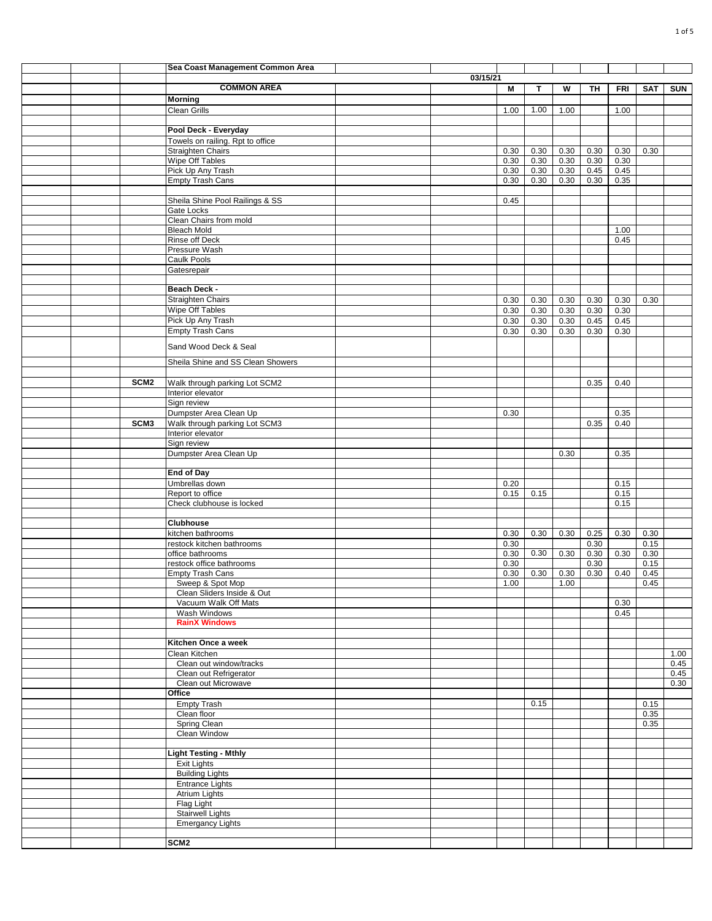|  |                  | Sea Coast Management Common Area               |          |      |      |      |      |            |            |            |
|--|------------------|------------------------------------------------|----------|------|------|------|------|------------|------------|------------|
|  |                  |                                                | 03/15/21 |      |      |      |      |            |            |            |
|  |                  | <b>COMMON AREA</b>                             |          | M    | т    | W    | TH   | <b>FRI</b> | <b>SAT</b> | <b>SUN</b> |
|  |                  |                                                |          |      |      |      |      |            |            |            |
|  |                  | <b>Morning</b>                                 |          |      |      |      |      |            |            |            |
|  |                  | <b>Clean Grills</b>                            |          | 1.00 | 1.00 | 1.00 |      | 1.00       |            |            |
|  |                  |                                                |          |      |      |      |      |            |            |            |
|  |                  | Pool Deck - Everyday                           |          |      |      |      |      |            |            |            |
|  |                  | Towels on railing. Rpt to office               |          |      |      |      |      |            |            |            |
|  |                  | <b>Straighten Chairs</b>                       |          | 0.30 | 0.30 | 0.30 | 0.30 | 0.30       | 0.30       |            |
|  |                  | Wipe Off Tables                                |          | 0.30 | 0.30 | 0.30 | 0.30 | 0.30       |            |            |
|  |                  | Pick Up Any Trash                              |          | 0.30 | 0.30 | 0.30 | 0.45 | 0.45       |            |            |
|  |                  | Empty Trash Cans                               |          | 0.30 | 0.30 | 0.30 | 0.30 | 0.35       |            |            |
|  |                  |                                                |          |      |      |      |      |            |            |            |
|  |                  | Sheila Shine Pool Railings & SS                |          | 0.45 |      |      |      |            |            |            |
|  |                  | Gate Locks                                     |          |      |      |      |      |            |            |            |
|  |                  |                                                |          |      |      |      |      |            |            |            |
|  |                  | Clean Chairs from mold                         |          |      |      |      |      |            |            |            |
|  |                  | <b>Bleach Mold</b>                             |          |      |      |      |      | 1.00       |            |            |
|  |                  | Rinse off Deck                                 |          |      |      |      |      | 0.45       |            |            |
|  |                  | Pressure Wash                                  |          |      |      |      |      |            |            |            |
|  |                  | <b>Caulk Pools</b>                             |          |      |      |      |      |            |            |            |
|  |                  | Gatesrepair                                    |          |      |      |      |      |            |            |            |
|  |                  |                                                |          |      |      |      |      |            |            |            |
|  |                  | Beach Deck -                                   |          |      |      |      |      |            |            |            |
|  |                  | Straighten Chairs                              |          | 0.30 | 0.30 | 0.30 | 0.30 | 0.30       | 0.30       |            |
|  |                  | Wipe Off Tables                                |          | 0.30 | 0.30 | 0.30 | 0.30 | 0.30       |            |            |
|  |                  | Pick Up Any Trash                              |          |      | 0.30 |      | 0.45 | 0.45       |            |            |
|  |                  |                                                |          | 0.30 |      | 0.30 |      |            |            |            |
|  |                  | <b>Empty Trash Cans</b>                        |          | 0.30 | 0.30 | 0.30 | 0.30 | 0.30       |            |            |
|  |                  | Sand Wood Deck & Seal                          |          |      |      |      |      |            |            |            |
|  |                  |                                                |          |      |      |      |      |            |            |            |
|  |                  | Sheila Shine and SS Clean Showers              |          |      |      |      |      |            |            |            |
|  |                  |                                                |          |      |      |      |      |            |            |            |
|  | SCM <sub>2</sub> | Walk through parking Lot SCM2                  |          |      |      |      | 0.35 | 0.40       |            |            |
|  |                  | Interior elevator                              |          |      |      |      |      |            |            |            |
|  |                  | Sign review                                    |          |      |      |      |      |            |            |            |
|  |                  | Dumpster Area Clean Up                         |          | 0.30 |      |      |      | 0.35       |            |            |
|  |                  |                                                |          |      |      |      |      |            |            |            |
|  | SCM <sub>3</sub> | Walk through parking Lot SCM3                  |          |      |      |      | 0.35 | 0.40       |            |            |
|  |                  | Interior elevator                              |          |      |      |      |      |            |            |            |
|  |                  | Sign review                                    |          |      |      |      |      |            |            |            |
|  |                  | Dumpster Area Clean Up                         |          |      |      | 0.30 |      | 0.35       |            |            |
|  |                  |                                                |          |      |      |      |      |            |            |            |
|  |                  | <b>End of Day</b>                              |          |      |      |      |      |            |            |            |
|  |                  | Umbrellas down                                 |          | 0.20 |      |      |      | 0.15       |            |            |
|  |                  | Report to office                               |          | 0.15 | 0.15 |      |      | 0.15       |            |            |
|  |                  | Check clubhouse is locked                      |          |      |      |      |      | 0.15       |            |            |
|  |                  |                                                |          |      |      |      |      |            |            |            |
|  |                  | <b>Clubhouse</b>                               |          |      |      |      |      |            |            |            |
|  |                  |                                                |          |      | 0.30 | 0.30 |      | 0.30       | 0.30       |            |
|  |                  | kitchen bathrooms<br>restock kitchen bathrooms |          | 0.30 |      |      | 0.25 |            |            |            |
|  |                  |                                                |          | 0.30 |      |      | 0.30 |            | 0.15       |            |
|  |                  | office bathrooms                               |          | 0.30 | 0.30 | 0.30 | 0.30 | 0.30       | 0.30       |            |
|  |                  | restock office bathrooms                       |          | 0.30 |      |      | 0.30 |            | 0.15       |            |
|  |                  | <b>Empty Trash Cans</b>                        |          | 0.30 | 0.30 | 0.30 | 0.30 | 0.40       | 0.45       |            |
|  |                  | Sweep & Spot Mop                               |          | 1.00 |      | 1.00 |      |            | 0.45       |            |
|  |                  | Clean Sliders Inside & Out                     |          |      |      |      |      |            |            |            |
|  |                  | Vacuum Walk Off Mats                           |          |      |      |      |      | 0.30       |            |            |
|  |                  | Wash Windows                                   |          |      |      |      |      | 0.45       |            |            |
|  |                  | <b>RainX Windows</b>                           |          |      |      |      |      |            |            |            |
|  |                  |                                                |          |      |      |      |      |            |            |            |
|  |                  | Kitchen Once a week                            |          |      |      |      |      |            |            |            |
|  |                  | Clean Kitchen                                  |          |      |      |      |      |            |            | 1.00       |
|  |                  |                                                |          |      |      |      |      |            |            |            |
|  |                  | Clean out window/tracks                        |          |      |      |      |      |            |            | 0.45       |
|  |                  | Clean out Refrigerator                         |          |      |      |      |      |            |            | 0.45       |
|  |                  | Clean out Microwave                            |          |      |      |      |      |            |            | 0.30       |
|  |                  | Office                                         |          |      |      |      |      |            |            |            |
|  |                  | <b>Empty Trash</b>                             |          |      | 0.15 |      |      |            | 0.15       |            |
|  |                  | Clean floor                                    |          |      |      |      |      |            | 0.35       |            |
|  |                  | Spring Clean                                   |          |      |      |      |      |            | 0.35       |            |
|  |                  | Clean Window                                   |          |      |      |      |      |            |            |            |
|  |                  |                                                |          |      |      |      |      |            |            |            |
|  |                  | <b>Light Testing - Mthly</b>                   |          |      |      |      |      |            |            |            |
|  |                  | Exit Lights                                    |          |      |      |      |      |            |            |            |
|  |                  | <b>Building Lights</b>                         |          |      |      |      |      |            |            |            |
|  |                  |                                                |          |      |      |      |      |            |            |            |
|  |                  | <b>Entrance Lights</b>                         |          |      |      |      |      |            |            |            |
|  |                  | <b>Atrium Lights</b>                           |          |      |      |      |      |            |            |            |
|  |                  | Flag Light                                     |          |      |      |      |      |            |            |            |
|  |                  | <b>Stairwell Lights</b>                        |          |      |      |      |      |            |            |            |
|  |                  | <b>Emergancy Lights</b>                        |          |      |      |      |      |            |            |            |
|  |                  |                                                |          |      |      |      |      |            |            |            |
|  |                  | SCM <sub>2</sub>                               |          |      |      |      |      |            |            |            |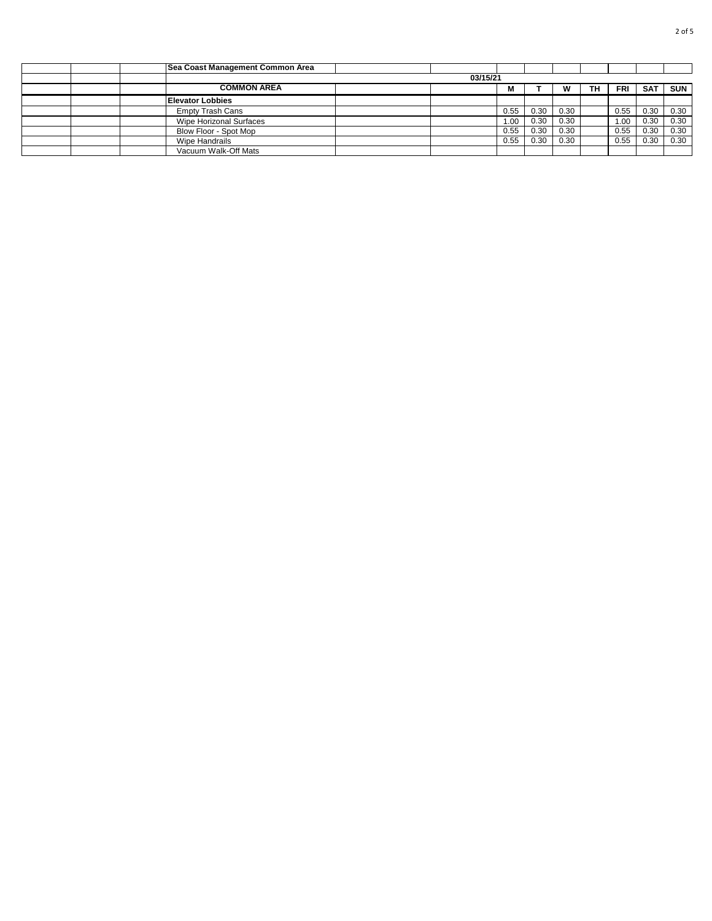|  | Sea Coast Management Common Area |          |      |      |      |     |      |            |            |
|--|----------------------------------|----------|------|------|------|-----|------|------------|------------|
|  |                                  | 03/15/21 |      |      |      |     |      |            |            |
|  | <b>COMMON AREA</b>               |          | M    |      | w    | TH. | FRI  | <b>SAT</b> | <b>SUN</b> |
|  | <b>Elevator Lobbies</b>          |          |      |      |      |     |      |            |            |
|  | <b>Empty Trash Cans</b>          |          | 0.55 | 0.30 | 0.30 |     | 0.55 | 0.30       | 0.30       |
|  | <b>Wipe Horizonal Surfaces</b>   |          | 0.00 | 0.30 | 0.30 |     | 1.00 | 0.30       | 0.30       |
|  | Blow Floor - Spot Mop            |          | 0.55 | 0.30 | 0.30 |     | 0.55 | 0.30       | 0.30       |
|  | Wipe Handrails                   |          | 0.55 | 0.30 | 0.30 |     | 0.55 | 0.30       | 0.30       |
|  | Vacuum Walk-Off Mats             |          |      |      |      |     |      |            |            |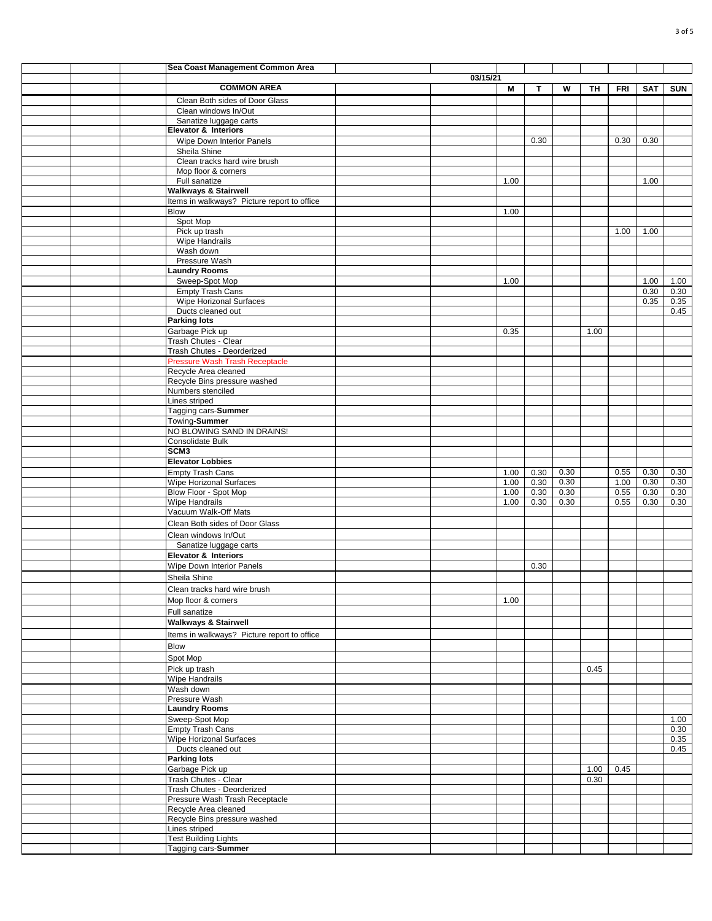|  | Sea Coast Management Common Area                              |          |      |      |      |      |      |      |            |
|--|---------------------------------------------------------------|----------|------|------|------|------|------|------|------------|
|  |                                                               | 03/15/21 |      |      |      |      |      |      |            |
|  | <b>COMMON AREA</b>                                            |          | M    | Т    | W    | TH   | FRI  | SAT  | <b>SUN</b> |
|  | Clean Both sides of Door Glass                                |          |      |      |      |      |      |      |            |
|  | Clean windows In/Out                                          |          |      |      |      |      |      |      |            |
|  | Sanatize luggage carts                                        |          |      |      |      |      |      |      |            |
|  | <b>Elevator &amp; Interiors</b>                               |          |      |      |      |      |      |      |            |
|  | Wipe Down Interior Panels                                     |          |      | 0.30 |      |      | 0.30 | 0.30 |            |
|  | Sheila Shine                                                  |          |      |      |      |      |      |      |            |
|  | Clean tracks hard wire brush                                  |          |      |      |      |      |      |      |            |
|  | Mop floor & corners                                           |          |      |      |      |      |      |      |            |
|  | Full sanatize                                                 |          | 1.00 |      |      |      |      | 1.00 |            |
|  | <b>Walkways &amp; Stairwell</b>                               |          |      |      |      |      |      |      |            |
|  | Items in walkways? Picture report to office                   |          |      |      |      |      |      |      |            |
|  | <b>Blow</b>                                                   |          | 1.00 |      |      |      |      |      |            |
|  | Spot Mop                                                      |          |      |      |      |      |      |      |            |
|  | Pick up trash                                                 |          |      |      |      |      | 1.00 | 1.00 |            |
|  | Wipe Handrails                                                |          |      |      |      |      |      |      |            |
|  | Wash down                                                     |          |      |      |      |      |      |      |            |
|  | Pressure Wash                                                 |          |      |      |      |      |      |      |            |
|  | <b>Laundry Rooms</b>                                          |          |      |      |      |      |      |      |            |
|  | Sweep-Spot Mop                                                |          | 1.00 |      |      |      |      | 1.00 | 1.00       |
|  | <b>Empty Trash Cans</b>                                       |          |      |      |      |      |      | 0.30 | 0.30       |
|  | Wipe Horizonal Surfaces                                       |          |      |      |      |      |      | 0.35 | 0.35       |
|  | Ducts cleaned out                                             |          |      |      |      |      |      |      | 0.45       |
|  | <b>Parking lots</b>                                           |          |      |      |      |      |      |      |            |
|  | Garbage Pick up                                               |          | 0.35 |      |      | 1.00 |      |      |            |
|  | Trash Chutes - Clear                                          |          |      |      |      |      |      |      |            |
|  | Trash Chutes - Deorderized                                    |          |      |      |      |      |      |      |            |
|  |                                                               |          |      |      |      |      |      |      |            |
|  | <b>Pressure Wash Trash Receptacle</b><br>Recycle Area cleaned |          |      |      |      |      |      |      |            |
|  | Recycle Bins pressure washed                                  |          |      |      |      |      |      |      |            |
|  |                                                               |          |      |      |      |      |      |      |            |
|  | Numbers stenciled                                             |          |      |      |      |      |      |      |            |
|  | Lines striped                                                 |          |      |      |      |      |      |      |            |
|  | Tagging cars-Summer                                           |          |      |      |      |      |      |      |            |
|  | Towing-Summer                                                 |          |      |      |      |      |      |      |            |
|  | NO BLOWING SAND IN DRAINS!                                    |          |      |      |      |      |      |      |            |
|  | Consolidate Bulk                                              |          |      |      |      |      |      |      |            |
|  | SCM <sub>3</sub>                                              |          |      |      |      |      |      |      |            |
|  | <b>Elevator Lobbies</b>                                       |          |      |      |      |      |      |      |            |
|  | <b>Empty Trash Cans</b>                                       |          | 1.00 | 0.30 | 0.30 |      | 0.55 | 0.30 | 0.30       |
|  | <b>Wipe Horizonal Surfaces</b>                                |          | 1.00 | 0.30 | 0.30 |      | 1.00 | 0.30 | 0.30       |
|  | Blow Floor - Spot Mop                                         |          | 1.00 | 0.30 | 0.30 |      | 0.55 | 0.30 | 0.30       |
|  | <b>Wipe Handrails</b>                                         |          | 1.00 | 0.30 | 0.30 |      | 0.55 | 0.30 | 0.30       |
|  | Vacuum Walk-Off Mats                                          |          |      |      |      |      |      |      |            |
|  | Clean Both sides of Door Glass                                |          |      |      |      |      |      |      |            |
|  | Clean windows In/Out                                          |          |      |      |      |      |      |      |            |
|  | Sanatize luggage carts                                        |          |      |      |      |      |      |      |            |
|  | Elevator & Interiors                                          |          |      |      |      |      |      |      |            |
|  |                                                               |          |      | 0.30 |      |      |      |      |            |
|  | Wipe Down Interior Panels                                     |          |      |      |      |      |      |      |            |
|  | Sheila Shine                                                  |          |      |      |      |      |      |      |            |
|  | Clean tracks hard wire brush                                  |          |      |      |      |      |      |      |            |
|  | Mop floor & corners                                           |          | 1.00 |      |      |      |      |      |            |
|  | Full sanatize                                                 |          |      |      |      |      |      |      |            |
|  | <b>Walkways &amp; Stairwell</b>                               |          |      |      |      |      |      |      |            |
|  |                                                               |          |      |      |      |      |      |      |            |
|  | Items in walkways? Picture report to office                   |          |      |      |      |      |      |      |            |
|  | <b>Blow</b>                                                   |          |      |      |      |      |      |      |            |
|  | Spot Mop                                                      |          |      |      |      |      |      |      |            |
|  | Pick up trash                                                 |          |      |      |      | 0.45 |      |      |            |
|  | Wipe Handrails                                                |          |      |      |      |      |      |      |            |
|  | Wash down                                                     |          |      |      |      |      |      |      |            |
|  | Pressure Wash                                                 |          |      |      |      |      |      |      |            |
|  | <b>Laundry Rooms</b>                                          |          |      |      |      |      |      |      |            |
|  | Sweep-Spot Mop                                                |          |      |      |      |      |      |      | 1.00       |
|  | <b>Empty Trash Cans</b>                                       |          |      |      |      |      |      |      | 0.30       |
|  | <b>Wipe Horizonal Surfaces</b>                                |          |      |      |      |      |      |      | 0.35       |
|  | Ducts cleaned out                                             |          |      |      |      |      |      |      | 0.45       |
|  | <b>Parking lots</b>                                           |          |      |      |      |      |      |      |            |
|  | Garbage Pick up                                               |          |      |      |      | 1.00 | 0.45 |      |            |
|  | Trash Chutes - Clear                                          |          |      |      |      | 0.30 |      |      |            |
|  | Trash Chutes - Deorderized                                    |          |      |      |      |      |      |      |            |
|  | Pressure Wash Trash Receptacle                                |          |      |      |      |      |      |      |            |
|  | Recycle Area cleaned                                          |          |      |      |      |      |      |      |            |
|  | Recycle Bins pressure washed                                  |          |      |      |      |      |      |      |            |
|  | Lines striped                                                 |          |      |      |      |      |      |      |            |
|  | <b>Test Building Lights</b>                                   |          |      |      |      |      |      |      |            |
|  | Tagging cars-Summer                                           |          |      |      |      |      |      |      |            |
|  |                                                               |          |      |      |      |      |      |      |            |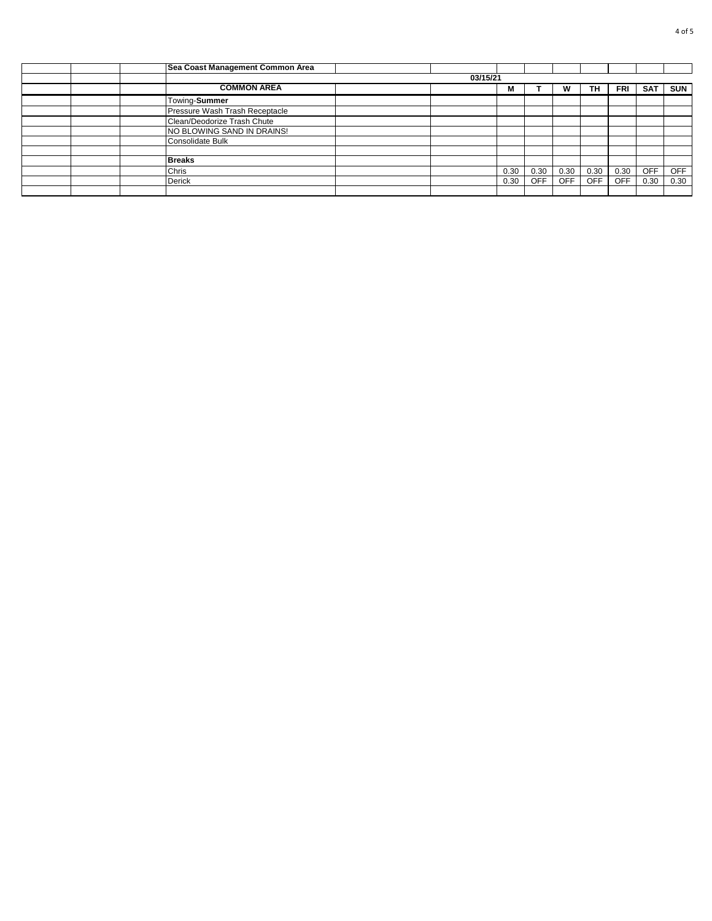|  | Sea Coast Management Common Area |          |      |            |            |            |            |            |            |
|--|----------------------------------|----------|------|------------|------------|------------|------------|------------|------------|
|  |                                  | 03/15/21 |      |            |            |            |            |            |            |
|  | <b>COMMON AREA</b>               |          | М    |            | w          | TH         | <b>FRI</b> | <b>SAT</b> | <b>SUN</b> |
|  | Towing-Summer                    |          |      |            |            |            |            |            |            |
|  | Pressure Wash Trash Receptacle   |          |      |            |            |            |            |            |            |
|  | Clean/Deodorize Trash Chute      |          |      |            |            |            |            |            |            |
|  | NO BLOWING SAND IN DRAINS!       |          |      |            |            |            |            |            |            |
|  | Consolidate Bulk                 |          |      |            |            |            |            |            |            |
|  |                                  |          |      |            |            |            |            |            |            |
|  | <b>Breaks</b>                    |          |      |            |            |            |            |            |            |
|  | Chris                            |          | 0.30 | 0.30       | 0.30       | 0.30       | 0.30       | <b>OFF</b> | <b>OFF</b> |
|  | Derick                           |          | 0.30 | <b>OFF</b> | <b>OFF</b> | <b>OFF</b> | <b>OFF</b> | 0.30       | 0.30       |
|  |                                  |          |      |            |            |            |            |            |            |